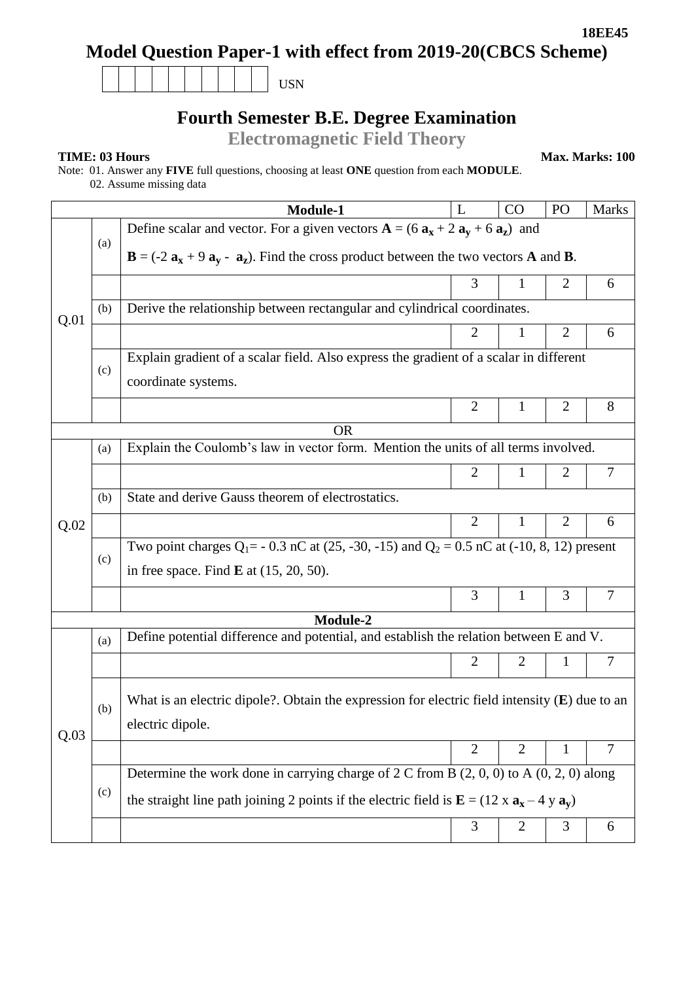USN

## **Fourth Semester B.E. Degree Examination**

**Electromagnetic Field Theory**

**TIME: 03 Hours Max. Marks: 100** 

Note: 01. Answer any **FIVE** full questions, choosing at least **ONE** question from each **MODULE**.

02. Assume missing data

|          |     | Module-1                                                                                                                                  | L              | CO             | PO             | <b>Marks</b> |  |  |  |  |
|----------|-----|-------------------------------------------------------------------------------------------------------------------------------------------|----------------|----------------|----------------|--------------|--|--|--|--|
|          |     | Define scalar and vector. For a given vectors $A = (6 a_x + 2 a_y + 6 a_z)$ and                                                           |                |                |                |              |  |  |  |  |
|          | (a) | $\mathbf{B} = (-2 \mathbf{a_x} + 9 \mathbf{a_y} - \mathbf{a_z})$ . Find the cross product between the two vectors <b>A</b> and <b>B</b> . |                |                |                |              |  |  |  |  |
|          |     |                                                                                                                                           | 3              | 1              | $\overline{2}$ | 6            |  |  |  |  |
| Q.01     | (b) | Derive the relationship between rectangular and cylindrical coordinates.                                                                  |                |                |                |              |  |  |  |  |
|          |     |                                                                                                                                           | 2              | 1              | $\overline{2}$ | 6            |  |  |  |  |
|          |     | Explain gradient of a scalar field. Also express the gradient of a scalar in different                                                    |                |                |                |              |  |  |  |  |
|          | (c) | coordinate systems.                                                                                                                       |                |                |                |              |  |  |  |  |
|          |     |                                                                                                                                           | $\overline{2}$ | $\mathbf{1}$   | $\overline{2}$ | 8            |  |  |  |  |
|          |     | <b>OR</b>                                                                                                                                 |                |                |                |              |  |  |  |  |
|          | (a) | Explain the Coulomb's law in vector form. Mention the units of all terms involved.                                                        |                |                |                |              |  |  |  |  |
|          |     |                                                                                                                                           | $\overline{2}$ | 1              | 2              | 7            |  |  |  |  |
|          | (b) | State and derive Gauss theorem of electrostatics.                                                                                         |                |                |                |              |  |  |  |  |
| Q.02     |     |                                                                                                                                           | $\overline{2}$ | 1              | $\overline{2}$ | 6            |  |  |  |  |
|          |     | Two point charges $Q_1 = -0.3$ nC at (25, -30, -15) and $Q_2 = 0.5$ nC at (-10, 8, 12) present                                            |                |                |                |              |  |  |  |  |
|          | (c) | in free space. Find $\bf{E}$ at (15, 20, 50).                                                                                             |                |                |                |              |  |  |  |  |
|          |     |                                                                                                                                           | 3              | 1              | 3              | 7            |  |  |  |  |
| Module-2 |     |                                                                                                                                           |                |                |                |              |  |  |  |  |
|          | (a) | Define potential difference and potential, and establish the relation between E and V.                                                    |                |                |                |              |  |  |  |  |
|          |     |                                                                                                                                           | $\overline{2}$ | 2              | 1              | 7            |  |  |  |  |
|          |     | What is an electric dipole?. Obtain the expression for electric field intensity $(E)$ due to an                                           |                |                |                |              |  |  |  |  |
|          | (b) | electric dipole.                                                                                                                          |                |                |                |              |  |  |  |  |
| Q.03     |     |                                                                                                                                           |                |                |                |              |  |  |  |  |
|          |     |                                                                                                                                           | $\overline{2}$ | $\overline{2}$ | 1              | 7            |  |  |  |  |
|          | (c) | Determine the work done in carrying charge of 2 C from B $(2, 0, 0)$ to A $(0, 2, 0)$ along                                               |                |                |                |              |  |  |  |  |
|          |     | the straight line path joining 2 points if the electric field is $\mathbf{E} = (12 \times \mathbf{a_x} - 4 \times \mathbf{a_y})$          |                |                |                |              |  |  |  |  |
|          |     |                                                                                                                                           | 3              | $\mathfrak{2}$ | 3              | 6            |  |  |  |  |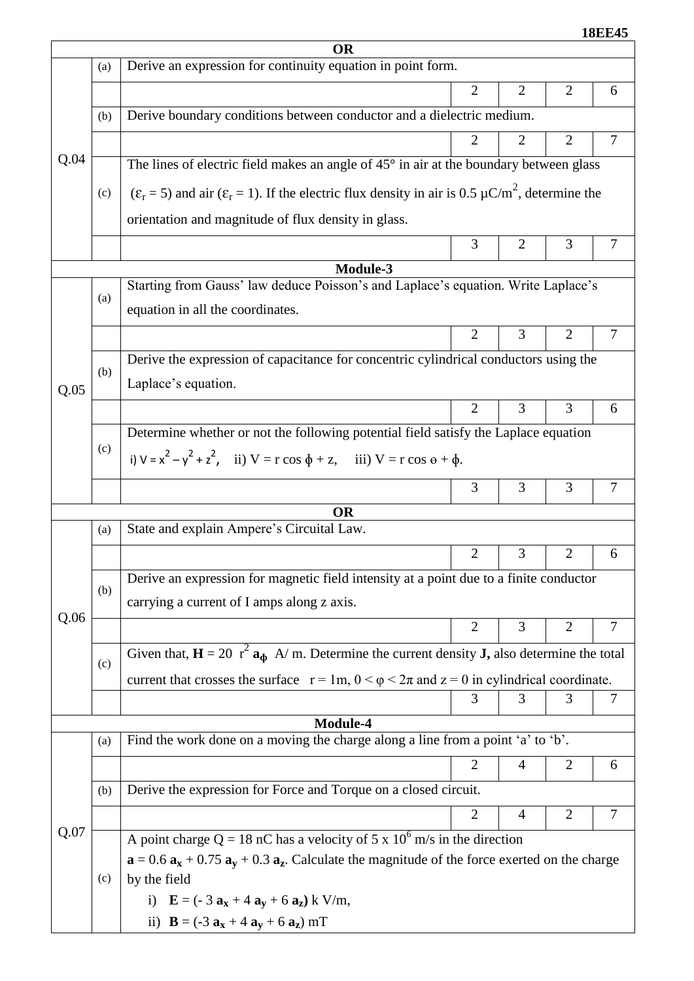**18EE45**

| <b>OR</b> |     |                                                                                                                                         |                |                |                |   |  |  |  |
|-----------|-----|-----------------------------------------------------------------------------------------------------------------------------------------|----------------|----------------|----------------|---|--|--|--|
|           | (a) | Derive an expression for continuity equation in point form.                                                                             |                |                |                |   |  |  |  |
|           |     |                                                                                                                                         | 2              | 2              | 2              | 6 |  |  |  |
|           | (b) | Derive boundary conditions between conductor and a dielectric medium.                                                                   |                |                |                |   |  |  |  |
|           |     |                                                                                                                                         | 2              | 2              | $\overline{2}$ | 7 |  |  |  |
| Q.04      |     | The lines of electric field makes an angle of $45^{\circ}$ in air at the boundary between glass                                         |                |                |                |   |  |  |  |
|           | (c) | $(\varepsilon_r = 5)$ and air $(\varepsilon_r = 1)$ . If the electric flux density in air is 0.5 $\mu$ C/m <sup>2</sup> , determine the |                |                |                |   |  |  |  |
|           |     | orientation and magnitude of flux density in glass.                                                                                     |                |                |                |   |  |  |  |
|           |     |                                                                                                                                         | 3              | $\overline{2}$ | 3              | 7 |  |  |  |
|           |     | Module-3                                                                                                                                |                |                |                |   |  |  |  |
|           |     | Starting from Gauss' law deduce Poisson's and Laplace's equation. Write Laplace's                                                       |                |                |                |   |  |  |  |
|           | (a) | equation in all the coordinates.                                                                                                        |                |                |                |   |  |  |  |
|           |     |                                                                                                                                         | $\overline{2}$ | 3              | $\overline{2}$ | 7 |  |  |  |
|           |     | Derive the expression of capacitance for concentric cylindrical conductors using the                                                    |                |                |                |   |  |  |  |
| Q.05      | (b) | Laplace's equation.                                                                                                                     |                |                |                |   |  |  |  |
|           |     |                                                                                                                                         | $\overline{2}$ | 3              | 3              | 6 |  |  |  |
|           |     | Determine whether or not the following potential field satisfy the Laplace equation                                                     |                |                |                |   |  |  |  |
|           | (c) | i) $V = x^2 - y^2 + z^2$ , ii) $V = r \cos \phi + z$ , iii) $V = r \cos \phi + \phi$ .                                                  |                |                |                |   |  |  |  |
|           |     |                                                                                                                                         | 3              | 3              | 3              | 7 |  |  |  |
|           |     | <b>OR</b>                                                                                                                               |                |                |                |   |  |  |  |
|           | (a) | State and explain Ampere's Circuital Law.                                                                                               |                |                |                |   |  |  |  |
|           |     |                                                                                                                                         | $\overline{2}$ | 3              | $\overline{2}$ | 6 |  |  |  |
|           |     | Derive an expression for magnetic field intensity at a point due to a finite conductor                                                  |                |                |                |   |  |  |  |
|           | (b) | carrying a current of I amps along z axis.                                                                                              |                |                |                |   |  |  |  |
| Q.06      |     |                                                                                                                                         | 2              | 3              | $\overline{2}$ | 7 |  |  |  |
|           |     | Given that, $\mathbf{H} = 20$ r <sup>2</sup> $\mathbf{a}_{\Phi}$ A/m. Determine the current density <b>J</b> , also determine the total |                |                |                |   |  |  |  |
|           | (c) | current that crosses the surface $r = 1m$ , $0 < \varphi < 2\pi$ and $z = 0$ in cylindrical coordinate.                                 |                |                |                |   |  |  |  |
|           |     |                                                                                                                                         | 3              | 3              | 3              | 7 |  |  |  |
|           |     | Module-4                                                                                                                                |                |                |                |   |  |  |  |
|           | (a) | Find the work done on a moving the charge along a line from a point 'a' to 'b'.                                                         |                |                |                |   |  |  |  |
|           |     |                                                                                                                                         | $\overline{2}$ | 4              | 2              | 6 |  |  |  |
|           | (b) | Derive the expression for Force and Torque on a closed circuit.                                                                         |                |                |                |   |  |  |  |
|           |     |                                                                                                                                         | $\overline{2}$ | 4              | $\overline{2}$ | 7 |  |  |  |
| Q.07      |     | A point charge Q = 18 nC has a velocity of 5 x $10^6$ m/s in the direction                                                              |                |                |                |   |  |  |  |
|           |     | $\mathbf{a} = 0.6 \mathbf{a_x} + 0.75 \mathbf{a_y} + 0.3 \mathbf{a_z}$ . Calculate the magnitude of the force exerted on the charge     |                |                |                |   |  |  |  |
|           | (c) | by the field                                                                                                                            |                |                |                |   |  |  |  |
|           |     | i) $E = (-3 a_x + 4 a_y + 6 a_z) k V/m,$                                                                                                |                |                |                |   |  |  |  |
|           |     | ii) $B = (-3 a_x + 4 a_y + 6 a_z) mT$                                                                                                   |                |                |                |   |  |  |  |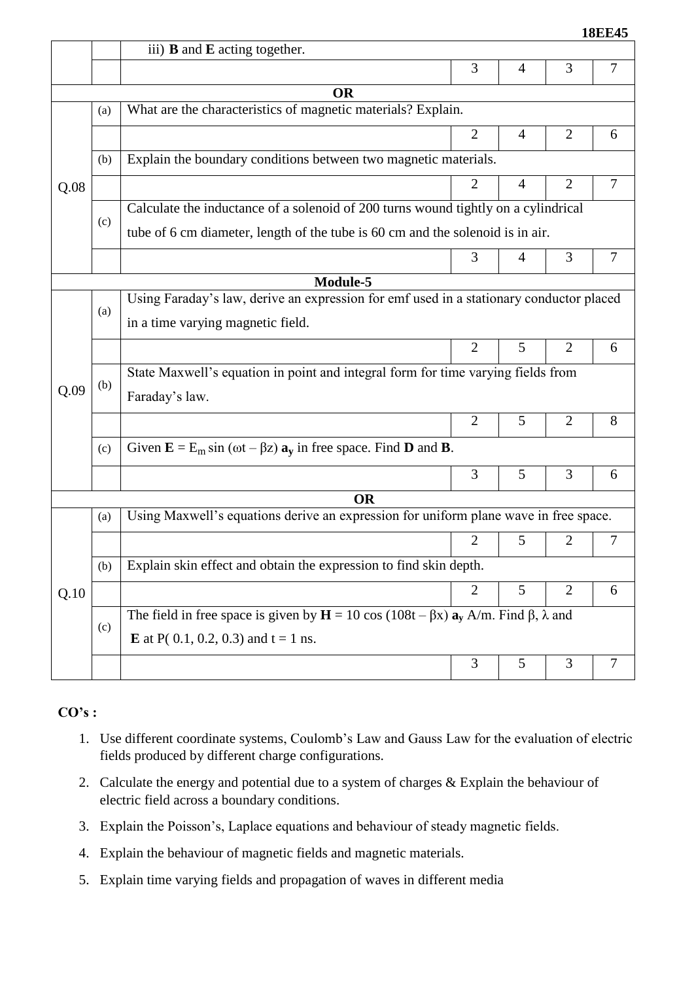|      |     | <b>18EE45</b>                                                                                               |                |                |                |   |  |  |  |
|------|-----|-------------------------------------------------------------------------------------------------------------|----------------|----------------|----------------|---|--|--|--|
|      |     | iii) <b>B</b> and <b>E</b> acting together.                                                                 |                |                |                |   |  |  |  |
|      |     |                                                                                                             | 3              | 4              | 3              | 7 |  |  |  |
|      |     | <b>OR</b>                                                                                                   |                |                |                |   |  |  |  |
|      | (a) | What are the characteristics of magnetic materials? Explain.                                                |                |                |                |   |  |  |  |
|      |     |                                                                                                             | $\overline{2}$ | 4              | $\overline{2}$ | 6 |  |  |  |
|      | (b) | Explain the boundary conditions between two magnetic materials.                                             |                |                |                |   |  |  |  |
| Q.08 |     |                                                                                                             | $\overline{2}$ | $\overline{4}$ | $\overline{2}$ | 7 |  |  |  |
|      |     | Calculate the inductance of a solenoid of 200 turns wound tightly on a cylindrical                          |                |                |                |   |  |  |  |
|      | (c) | tube of 6 cm diameter, length of the tube is 60 cm and the solenoid is in air.                              |                |                |                |   |  |  |  |
|      |     |                                                                                                             | 3              | 4              | 3              | 7 |  |  |  |
|      |     | Module-5                                                                                                    |                |                |                |   |  |  |  |
|      |     | Using Faraday's law, derive an expression for emf used in a stationary conductor placed                     |                |                |                |   |  |  |  |
|      | (a) | in a time varying magnetic field.                                                                           |                |                |                |   |  |  |  |
|      |     |                                                                                                             | $\overline{2}$ | 5              | $\overline{2}$ | 6 |  |  |  |
|      | (b) | State Maxwell's equation in point and integral form for time varying fields from                            |                |                |                |   |  |  |  |
| Q.09 |     | Faraday's law.                                                                                              |                |                |                |   |  |  |  |
|      |     |                                                                                                             | $\overline{2}$ | 5              | $\overline{2}$ | 8 |  |  |  |
|      | (c) | Given $\mathbf{E} = E_m \sin (\omega t - \beta z) \mathbf{a}_y$ in free space. Find <b>D</b> and <b>B</b> . |                |                |                |   |  |  |  |
|      |     |                                                                                                             | 3              | 5              | 3              | 6 |  |  |  |
|      |     | OR                                                                                                          |                |                |                |   |  |  |  |
|      | (a) | Using Maxwell's equations derive an expression for uniform plane wave in free space.                        |                |                |                |   |  |  |  |
|      |     |                                                                                                             | 2              | 5              | $\overline{2}$ | 7 |  |  |  |
|      | (b) | Explain skin effect and obtain the expression to find skin depth.                                           |                |                |                |   |  |  |  |
| Q.10 |     |                                                                                                             | 2              | 5              | $\overline{2}$ | 6 |  |  |  |
|      | (c) | The field in free space is given by $H = 10 \cos(108t - \beta x) a_v A/m$ . Find $\beta$ , $\lambda$ and    |                |                |                |   |  |  |  |
|      |     | <b>E</b> at P(0.1, 0.2, 0.3) and $t = 1$ ns.                                                                |                |                |                |   |  |  |  |
|      |     |                                                                                                             | 3              | 5              | 3              | 7 |  |  |  |
|      |     |                                                                                                             |                |                |                |   |  |  |  |

## **CO's :**

- 1. Use different coordinate systems, Coulomb's Law and Gauss Law for the evaluation of electric fields produced by different charge configurations.
- 2. Calculate the energy and potential due to a system of charges & Explain the behaviour of electric field across a boundary conditions.
- 3. Explain the Poisson's, Laplace equations and behaviour of steady magnetic fields.
- 4. Explain the behaviour of magnetic fields and magnetic materials.
- 5. Explain time varying fields and propagation of waves in different media